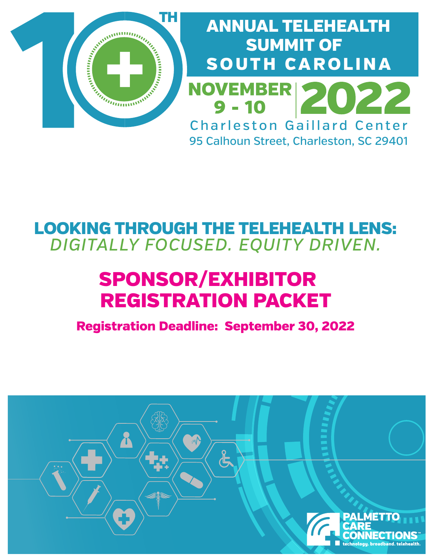

# ANNUAL TELEHEALTH SUMMIT OF SOUTH CAROLINA **NOVEMBER** Charleston Gaillard Center 95 Calhoun Street, Charleston, SC 29401

# LOOKING THROUGH THE TELEHEALTH LENS: *DIGITALLY FOCUSED. EQUITY DRIVEN.*

# SPONSOR/EXHIBITOR REGISTRATION PACKET

Registration Deadline: September 30, 2022

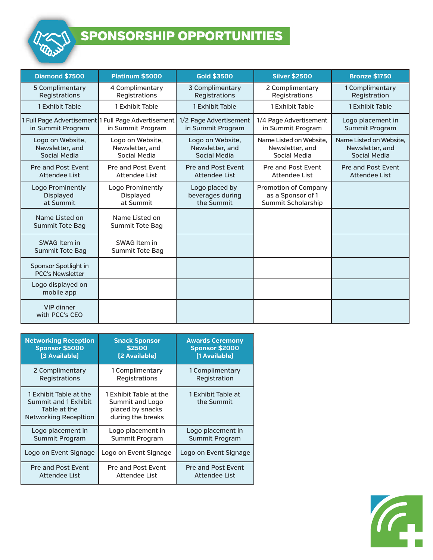

## SPONSORSHIP OPPORTUNITIES

| Diamond \$7500                                      | <b>Platinum \$5000</b>                                                   | <b>Gold \$3500</b>                                  | <b>Silver \$2500</b>                                                   | <b>Bronze \$1750</b>                                       |
|-----------------------------------------------------|--------------------------------------------------------------------------|-----------------------------------------------------|------------------------------------------------------------------------|------------------------------------------------------------|
| 5 Complimentary<br>Registrations                    | 4 Complimentary<br>Registrations                                         | 3 Complimentary<br>Registrations                    | 2 Complimentary<br>Registrations                                       | 1 Complimentary<br>Registration                            |
| 1 Exhibit Table                                     | 1 Exhibit Table                                                          | 1 Exhibit Table                                     | 1 Exhibit Table                                                        | 1 Exhibit Table                                            |
| in Summit Program                                   | 1 Full Page Advertisement 1 Full Page Advertisement<br>in Summit Program | 1/2 Page Advertisement<br>in Summit Program         | 1/4 Page Advertisement<br>in Summit Program                            | Logo placement in<br>Summit Program                        |
| Logo on Website,<br>Newsletter, and<br>Social Media | Logo on Website,<br>Newsletter, and<br>Social Media                      | Logo on Website,<br>Newsletter, and<br>Social Media | Name Listed on Website.<br>Newsletter, and<br>Social Media             | Name Listed on Website.<br>Newsletter, and<br>Social Media |
| Pre and Post Event<br><b>Attendee List</b>          | Pre and Post Event<br><b>Attendee List</b>                               | Pre and Post Event<br>Attendee List                 | Pre and Post Event<br><b>Attendee List</b>                             | <b>Pre and Post Event</b><br>Attendee List                 |
| Logo Prominently<br><b>Displayed</b><br>at Summit   | Logo Prominently<br>Displayed<br>at Summit                               | Logo placed by<br>beverages during<br>the Summit    | <b>Promotion of Company</b><br>as a Sponsor of 1<br>Summit Scholarship |                                                            |
| Name Listed on<br><b>Summit Tote Bag</b>            | Name Listed on<br>Summit Tote Bag                                        |                                                     |                                                                        |                                                            |
| SWAG Item in<br><b>Summit Tote Bag</b>              | SWAG Item in<br>Summit Tote Bag                                          |                                                     |                                                                        |                                                            |
| Sponsor Spotlight in<br><b>PCC's Newsletter</b>     |                                                                          |                                                     |                                                                        |                                                            |
| Logo displayed on<br>mobile app                     |                                                                          |                                                     |                                                                        |                                                            |
| <b>VIP dinner</b><br>with PCC's CEO                 |                                                                          |                                                     |                                                                        |                                                            |

| <b>Networking Reception</b>                                                                    | <b>Snack Sponsor</b>                                                               | <b>Awards Ceremony</b>           |
|------------------------------------------------------------------------------------------------|------------------------------------------------------------------------------------|----------------------------------|
| <b>Sponsor \$5000</b>                                                                          | \$2500                                                                             | <b>Sponsor \$2000</b>            |
| [3 Available]                                                                                  | [2 Available]                                                                      | [1 Available]                    |
| 2 Complimentary                                                                                | 1 Complimentary                                                                    | 1 Complimentary                  |
| <b>Registrations</b>                                                                           | Registrations                                                                      | Registration                     |
| 1 Exhibit Table at the<br>Summit and 1 Exhibit<br>Table at the<br><b>Networking Recepition</b> | 1 Exhibit Table at the<br>Summit and Logo<br>placed by snacks<br>during the breaks | 1 Exhibit Table at<br>the Summit |
| Logo placement in                                                                              | Logo placement in                                                                  | Logo placement in                |
| <b>Summit Program</b>                                                                          | Summit Program                                                                     | <b>Summit Program</b>            |
| Logo on Event Signage                                                                          | Logo on Event Signage                                                              | Logo on Event Signage            |
| <b>Pre and Post Event</b>                                                                      | <b>Pre and Post Event</b>                                                          | <b>Pre and Post Event</b>        |
| Attendee List                                                                                  | Attendee List                                                                      | Attendee List                    |

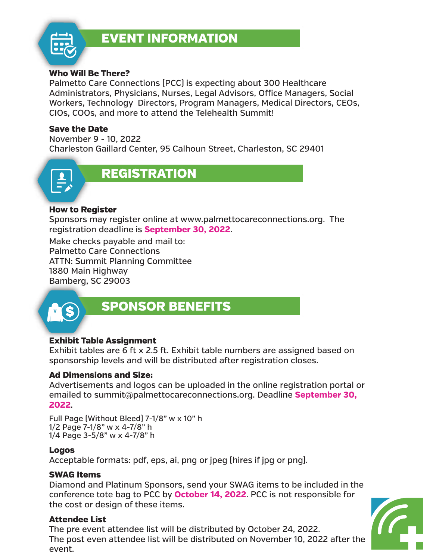

#### Who Will Be There?

Palmetto Care Connections (PCC) is expecting about 300 Healthcare Administrators, Physicians, Nurses, Legal Advisors, Office Managers, Social Workers, Technology Directors, Program Managers, Medical Directors, CEOs, CIOs, COOs, and more to attend the Telehealth Summit!

#### Save the Date

November 9 - 10, 2022 Charleston Gaillard Center, 95 Calhoun Street, Charleston, SC 29401



#### How to Register

Sponsors may register online at www.palmettocareconnections.org. The registration deadline is **September 30, 2022**.

Make checks payable and mail to: Palmetto Care Connections ATTN: Summit Planning Committee 1880 Main Highway Bamberg, SC 29003



### SPONSOR BENEFITS

#### Exhibit Table Assignment

Exhibit tables are 6 ft x 2.5 ft. Exhibit table numbers are assigned based on sponsorship levels and will be distributed after registration closes.

#### Ad Dimensions and Size:

Advertisements and logos can be uploaded in the online registration portal or emailed to summit@palmettocareconnections.org. Deadline **September 30, 2022**.

Full Page (Without Bleed) 7-1/8" w x 10" h 1/2 Page 7-1/8" w x 4-7/8" h 1/4 Page 3-5/8" w x 4-7/8" h

#### Logos

Acceptable formats: pdf, eps, ai, png or jpeg (hires if jpg or png).

#### SWAG Items

Diamond and Platinum Sponsors, send your SWAG items to be included in the conference tote bag to PCC by **October 14, 2022**. PCC is not responsible for the cost or design of these items.

#### Attendee List

The pre event attendee list will be distributed by October 24, 2022. The post even attendee list will be distributed on November 10, 2022 after the event.